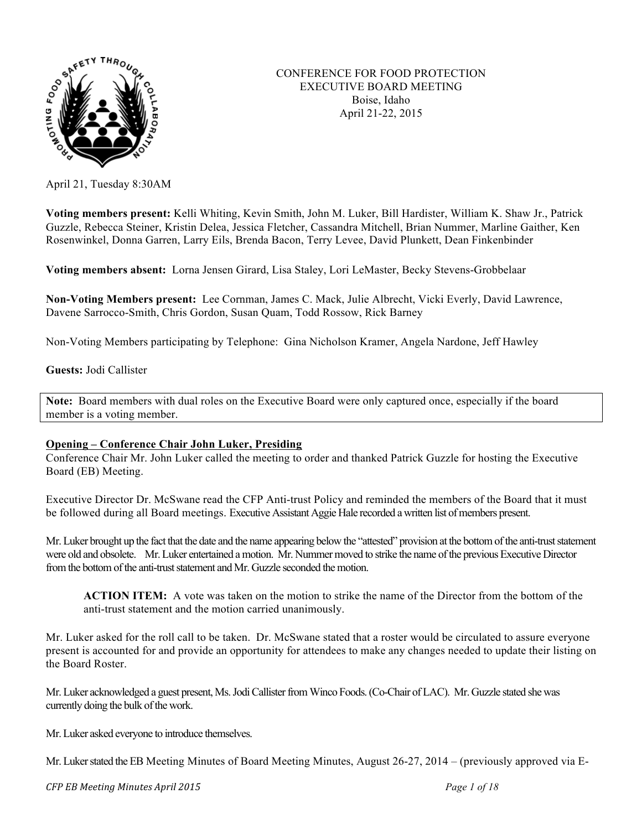

## CONFERENCE FOR FOOD PROTECTION EXECUTIVE BOARD MEETING Boise, Idaho April 21-22, 2015

April 21, Tuesday 8:30AM

**Voting members present:** Kelli Whiting, Kevin Smith, John M. Luker, Bill Hardister, William K. Shaw Jr., Patrick Guzzle, Rebecca Steiner, Kristin Delea, Jessica Fletcher, Cassandra Mitchell, Brian Nummer, Marline Gaither, Ken Rosenwinkel, Donna Garren, Larry Eils, Brenda Bacon, Terry Levee, David Plunkett, Dean Finkenbinder

**Voting members absent:** Lorna Jensen Girard, Lisa Staley, Lori LeMaster, Becky Stevens-Grobbelaar

**Non-Voting Members present:** Lee Cornman, James C. Mack, Julie Albrecht, Vicki Everly, David Lawrence, Davene Sarrocco-Smith, Chris Gordon, Susan Quam, Todd Rossow, Rick Barney

Non-Voting Members participating by Telephone: Gina Nicholson Kramer, Angela Nardone, Jeff Hawley

**Guests:** Jodi Callister

**Note:** Board members with dual roles on the Executive Board were only captured once, especially if the board member is a voting member.

### **Opening – Conference Chair John Luker, Presiding**

Conference Chair Mr. John Luker called the meeting to order and thanked Patrick Guzzle for hosting the Executive Board (EB) Meeting.

Executive Director Dr. McSwane read the CFP Anti-trust Policy and reminded the members of the Board that it must be followed during all Board meetings. Executive Assistant Aggie Hale recorded a written list of members present.

Mr. Luker brought up the fact that the date and the name appearing below the "attested" provision at the bottom of the anti-trust statement were old and obsolete. Mr. Luker entertained a motion. Mr. Nummer moved to strike the name of the previous Executive Director from the bottom of the anti-trust statement and Mr. Guzzle seconded the motion.

**ACTION ITEM:** A vote was taken on the motion to strike the name of the Director from the bottom of the anti-trust statement and the motion carried unanimously.

Mr. Luker asked for the roll call to be taken. Dr. McSwane stated that a roster would be circulated to assure everyone present is accounted for and provide an opportunity for attendees to make any changes needed to update their listing on the Board Roster.

Mr. Luker acknowledged a guest present, Ms. Jodi Callister from Winco Foods.(Co-Chair of LAC). Mr. Guzzle stated she was currently doing the bulk of the work.

Mr. Luker asked everyone to introduce themselves.

Mr. Luker stated the EB Meeting Minutes of Board Meeting Minutes, August 26-27, 2014 – (previously approved via E-

*CFP EB Meeting Minutes April 2015 Page 1 of 18*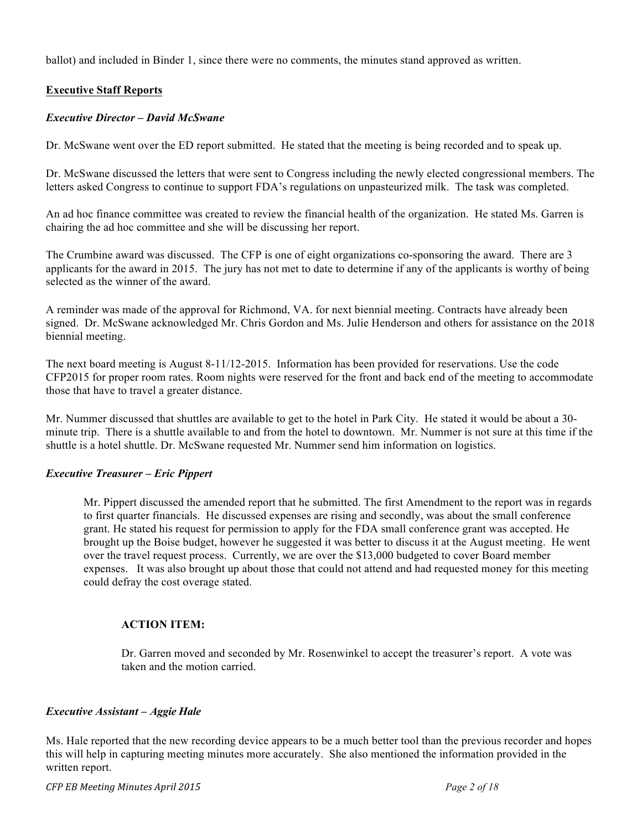ballot) and included in Binder 1, since there were no comments, the minutes stand approved as written.

# **Executive Staff Reports**

#### *Executive Director – David McSwane*

Dr. McSwane went over the ED report submitted. He stated that the meeting is being recorded and to speak up.

Dr. McSwane discussed the letters that were sent to Congress including the newly elected congressional members. The letters asked Congress to continue to support FDA's regulations on unpasteurized milk. The task was completed.

An ad hoc finance committee was created to review the financial health of the organization. He stated Ms. Garren is chairing the ad hoc committee and she will be discussing her report.

The Crumbine award was discussed. The CFP is one of eight organizations co-sponsoring the award. There are 3 applicants for the award in 2015. The jury has not met to date to determine if any of the applicants is worthy of being selected as the winner of the award.

A reminder was made of the approval for Richmond, VA. for next biennial meeting. Contracts have already been signed. Dr. McSwane acknowledged Mr. Chris Gordon and Ms. Julie Henderson and others for assistance on the 2018 biennial meeting.

The next board meeting is August 8-11/12-2015. Information has been provided for reservations. Use the code CFP2015 for proper room rates. Room nights were reserved for the front and back end of the meeting to accommodate those that have to travel a greater distance.

Mr. Nummer discussed that shuttles are available to get to the hotel in Park City. He stated it would be about a 30 minute trip. There is a shuttle available to and from the hotel to downtown. Mr. Nummer is not sure at this time if the shuttle is a hotel shuttle. Dr. McSwane requested Mr. Nummer send him information on logistics.

### *Executive Treasurer – Eric Pippert*

Mr. Pippert discussed the amended report that he submitted. The first Amendment to the report was in regards to first quarter financials. He discussed expenses are rising and secondly, was about the small conference grant. He stated his request for permission to apply for the FDA small conference grant was accepted. He brought up the Boise budget, however he suggested it was better to discuss it at the August meeting. He went over the travel request process. Currently, we are over the \$13,000 budgeted to cover Board member expenses. It was also brought up about those that could not attend and had requested money for this meeting could defray the cost overage stated.

### **ACTION ITEM:**

Dr. Garren moved and seconded by Mr. Rosenwinkel to accept the treasurer's report. A vote was taken and the motion carried.

#### *Executive Assistant – Aggie Hale*

Ms. Hale reported that the new recording device appears to be a much better tool than the previous recorder and hopes this will help in capturing meeting minutes more accurately. She also mentioned the information provided in the written report.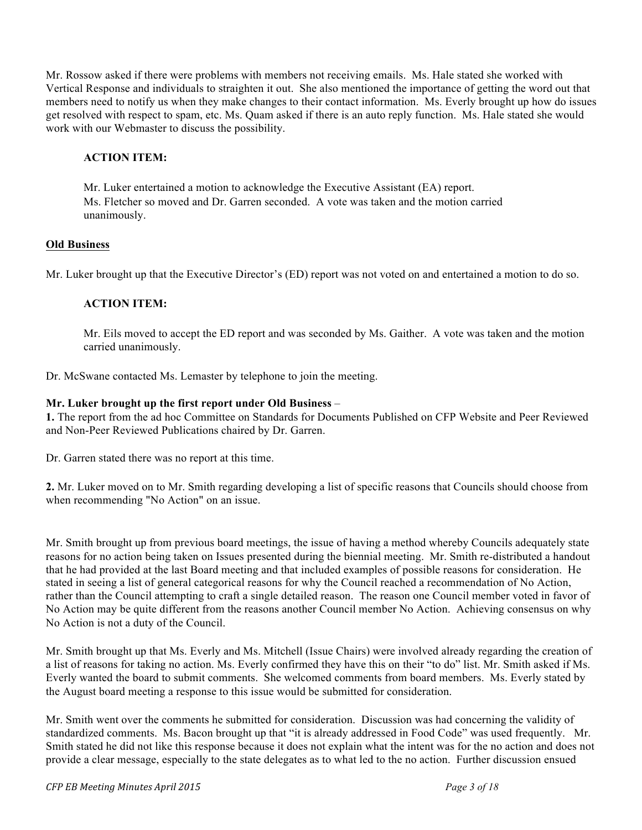Mr. Rossow asked if there were problems with members not receiving emails. Ms. Hale stated she worked with Vertical Response and individuals to straighten it out. She also mentioned the importance of getting the word out that members need to notify us when they make changes to their contact information. Ms. Everly brought up how do issues get resolved with respect to spam, etc. Ms. Quam asked if there is an auto reply function. Ms. Hale stated she would work with our Webmaster to discuss the possibility.

# **ACTION ITEM:**

Mr. Luker entertained a motion to acknowledge the Executive Assistant (EA) report. Ms. Fletcher so moved and Dr. Garren seconded. A vote was taken and the motion carried unanimously.

## **Old Business**

Mr. Luker brought up that the Executive Director's (ED) report was not voted on and entertained a motion to do so.

# **ACTION ITEM:**

Mr. Eils moved to accept the ED report and was seconded by Ms. Gaither. A vote was taken and the motion carried unanimously.

Dr. McSwane contacted Ms. Lemaster by telephone to join the meeting.

## **Mr. Luker brought up the first report under Old Business** –

**1.** The report from the ad hoc Committee on Standards for Documents Published on CFP Website and Peer Reviewed and Non-Peer Reviewed Publications chaired by Dr. Garren.

Dr. Garren stated there was no report at this time.

**2.** Mr. Luker moved on to Mr. Smith regarding developing a list of specific reasons that Councils should choose from when recommending "No Action" on an issue.

Mr. Smith brought up from previous board meetings, the issue of having a method whereby Councils adequately state reasons for no action being taken on Issues presented during the biennial meeting. Mr. Smith re-distributed a handout that he had provided at the last Board meeting and that included examples of possible reasons for consideration. He stated in seeing a list of general categorical reasons for why the Council reached a recommendation of No Action, rather than the Council attempting to craft a single detailed reason. The reason one Council member voted in favor of No Action may be quite different from the reasons another Council member No Action. Achieving consensus on why No Action is not a duty of the Council.

Mr. Smith brought up that Ms. Everly and Ms. Mitchell (Issue Chairs) were involved already regarding the creation of a list of reasons for taking no action. Ms. Everly confirmed they have this on their "to do" list. Mr. Smith asked if Ms. Everly wanted the board to submit comments. She welcomed comments from board members. Ms. Everly stated by the August board meeting a response to this issue would be submitted for consideration.

Mr. Smith went over the comments he submitted for consideration. Discussion was had concerning the validity of standardized comments. Ms. Bacon brought up that "it is already addressed in Food Code" was used frequently. Mr. Smith stated he did not like this response because it does not explain what the intent was for the no action and does not provide a clear message, especially to the state delegates as to what led to the no action. Further discussion ensued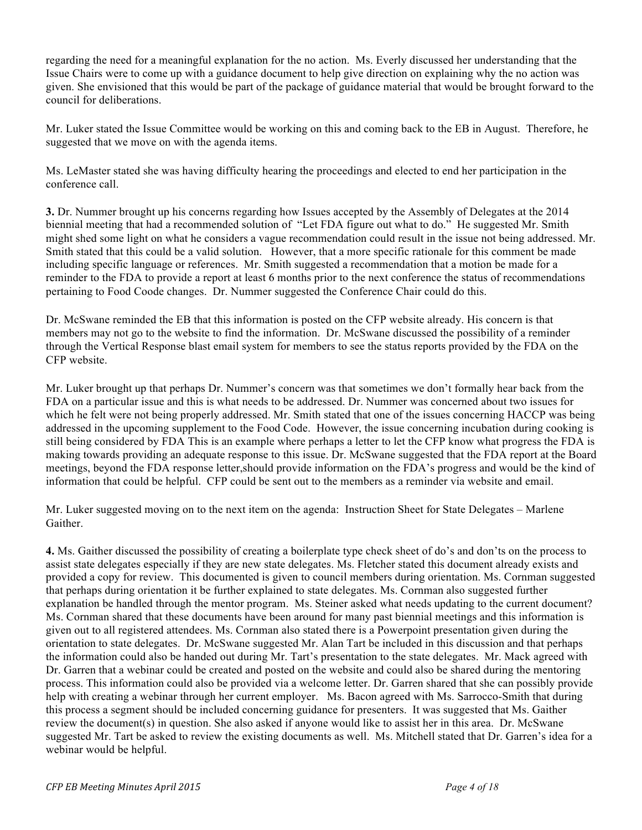regarding the need for a meaningful explanation for the no action. Ms. Everly discussed her understanding that the Issue Chairs were to come up with a guidance document to help give direction on explaining why the no action was given. She envisioned that this would be part of the package of guidance material that would be brought forward to the council for deliberations.

Mr. Luker stated the Issue Committee would be working on this and coming back to the EB in August. Therefore, he suggested that we move on with the agenda items.

Ms. LeMaster stated she was having difficulty hearing the proceedings and elected to end her participation in the conference call.

**3.** Dr. Nummer brought up his concerns regarding how Issues accepted by the Assembly of Delegates at the 2014 biennial meeting that had a recommended solution of "Let FDA figure out what to do." He suggested Mr. Smith might shed some light on what he considers a vague recommendation could result in the issue not being addressed. Mr. Smith stated that this could be a valid solution. However, that a more specific rationale for this comment be made including specific language or references. Mr. Smith suggested a recommendation that a motion be made for a reminder to the FDA to provide a report at least 6 months prior to the next conference the status of recommendations pertaining to Food Coode changes. Dr. Nummer suggested the Conference Chair could do this.

Dr. McSwane reminded the EB that this information is posted on the CFP website already. His concern is that members may not go to the website to find the information. Dr. McSwane discussed the possibility of a reminder through the Vertical Response blast email system for members to see the status reports provided by the FDA on the CFP website.

Mr. Luker brought up that perhaps Dr. Nummer's concern was that sometimes we don't formally hear back from the FDA on a particular issue and this is what needs to be addressed. Dr. Nummer was concerned about two issues for which he felt were not being properly addressed. Mr. Smith stated that one of the issues concerning HACCP was being addressed in the upcoming supplement to the Food Code. However, the issue concerning incubation during cooking is still being considered by FDA This is an example where perhaps a letter to let the CFP know what progress the FDA is making towards providing an adequate response to this issue. Dr. McSwane suggested that the FDA report at the Board meetings, beyond the FDA response letter,should provide information on the FDA's progress and would be the kind of information that could be helpful. CFP could be sent out to the members as a reminder via website and email.

Mr. Luker suggested moving on to the next item on the agenda: Instruction Sheet for State Delegates – Marlene Gaither.

**4.** Ms. Gaither discussed the possibility of creating a boilerplate type check sheet of do's and don'ts on the process to assist state delegates especially if they are new state delegates. Ms. Fletcher stated this document already exists and provided a copy for review. This documented is given to council members during orientation. Ms. Cornman suggested that perhaps during orientation it be further explained to state delegates. Ms. Cornman also suggested further explanation be handled through the mentor program. Ms. Steiner asked what needs updating to the current document? Ms. Cornman shared that these documents have been around for many past biennial meetings and this information is given out to all registered attendees. Ms. Cornman also stated there is a Powerpoint presentation given during the orientation to state delegates. Dr. McSwane suggested Mr. Alan Tart be included in this discussion and that perhaps the information could also be handed out during Mr. Tart's presentation to the state delegates. Mr. Mack agreed with Dr. Garren that a webinar could be created and posted on the website and could also be shared during the mentoring process. This information could also be provided via a welcome letter. Dr. Garren shared that she can possibly provide help with creating a webinar through her current employer. Ms. Bacon agreed with Ms. Sarrocco-Smith that during this process a segment should be included concerning guidance for presenters. It was suggested that Ms. Gaither review the document(s) in question. She also asked if anyone would like to assist her in this area. Dr. McSwane suggested Mr. Tart be asked to review the existing documents as well. Ms. Mitchell stated that Dr. Garren's idea for a webinar would be helpful.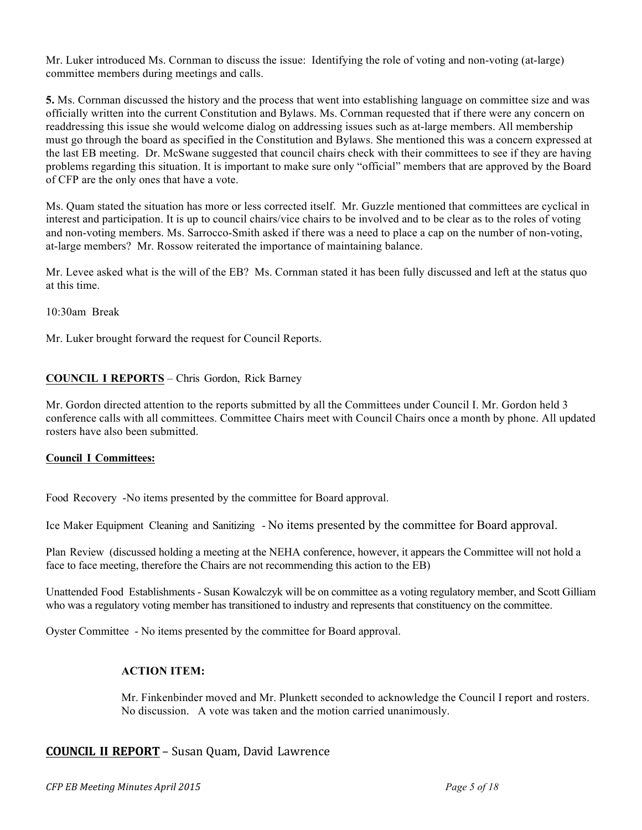Mr. Luker introduced Ms. Cornman to discuss the issue: Identifying the role of voting and non-voting (at-large) committee members during meetings and calls.

**5.** Ms. Cornman discussed the history and the process that went into establishing language on committee size and was officially written into the current Constitution and Bylaws. Ms. Cornman requested that if there were any concern on readdressing this issue she would welcome dialog on addressing issues such as at-large members. All membership must go through the board as specified in the Constitution and Bylaws. She mentioned this was a concern expressed at the last EB meeting. Dr. McSwane suggested that council chairs check with their committees to see if they are having problems regarding this situation. It is important to make sure only "official" members that are approved by the Board of CFP are the only ones that have a vote.

Ms. Quam stated the situation has more or less corrected itself. Mr. Guzzle mentioned that committees are cyclical in interest and participation. It is up to council chairs/vice chairs to be involved and to be clear as to the roles of voting and non-voting members. Ms. Sarrocco-Smith asked if there was a need to place a cap on the number of non-voting, at-large members? Mr. Rossow reiterated the importance of maintaining balance.

Mr. Levee asked what is the will of the EB? Ms. Cornman stated it has been fully discussed and left at the status quo at this time.

10:30am Break

Mr. Luker brought forward the request for Council Reports.

## **COUNCIL I REPORTS** – Chris Gordon, Rick Barney

Mr. Gordon directed attention to the reports submitted by all the Committees under Council I. Mr. Gordon held 3 conference calls with all committees. Committee Chairs meet with Council Chairs once a month by phone. All updated rosters have also been submitted.

#### **Council I Committees:**

Food Recovery -No items presented by the committee for Board approval.

Ice Maker Equipment Cleaning and Sanitizing - No items presented by the committee for Board approval.

Plan Review (discussed holding a meeting at the NEHA conference, however, it appears the Committee will not hold a face to face meeting, therefore the Chairs are not recommending this action to the EB)

Unattended Food Establishments - Susan Kowalczyk will be on committee as a voting regulatory member, and Scott Gilliam who was a regulatory voting member has transitioned to industry and represents that constituency on the committee.

Oyster Committee - No items presented by the committee for Board approval.

## **ACTION ITEM:**

Mr. Finkenbinder moved and Mr. Plunkett seconded to acknowledge the Council I report and rosters. No discussion. A vote was taken and the motion carried unanimously.

### **COUNCIL II REPORT** – Susan Quam, David Lawrence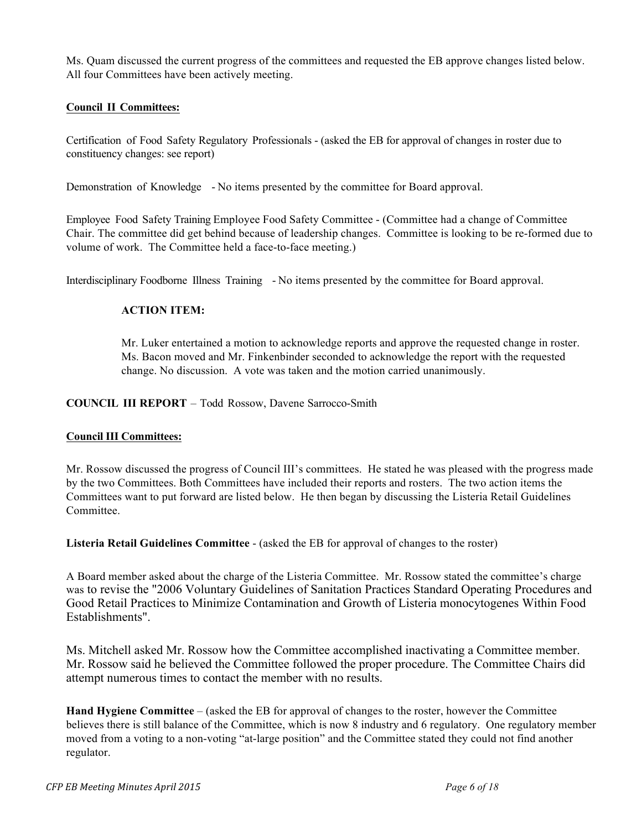Ms. Quam discussed the current progress of the committees and requested the EB approve changes listed below. All four Committees have been actively meeting.

## **Council II Committees:**

Certification of Food Safety Regulatory Professionals - (asked the EB for approval of changes in roster due to constituency changes: see report)

Demonstration of Knowledge - No items presented by the committee for Board approval.

Employee Food Safety Training Employee Food Safety Committee - (Committee had a change of Committee Chair. The committee did get behind because of leadership changes. Committee is looking to be re-formed due to volume of work. The Committee held a face-to-face meeting.)

Interdisciplinary Foodborne Illness Training - No items presented by the committee for Board approval.

### **ACTION ITEM:**

Mr. Luker entertained a motion to acknowledge reports and approve the requested change in roster. Ms. Bacon moved and Mr. Finkenbinder seconded to acknowledge the report with the requested change. No discussion. A vote was taken and the motion carried unanimously.

# **COUNCIL III REPORT** – Todd Rossow, Davene Sarrocco-Smith

### **Council III Committees:**

Mr. Rossow discussed the progress of Council III's committees. He stated he was pleased with the progress made by the two Committees. Both Committees have included their reports and rosters. The two action items the Committees want to put forward are listed below. He then began by discussing the Listeria Retail Guidelines Committee.

**Listeria Retail Guidelines Committee** - (asked the EB for approval of changes to the roster)

A Board member asked about the charge of the Listeria Committee. Mr. Rossow stated the committee's charge was to revise the "2006 Voluntary Guidelines of Sanitation Practices Standard Operating Procedures and Good Retail Practices to Minimize Contamination and Growth of Listeria monocytogenes Within Food Establishments".

Ms. Mitchell asked Mr. Rossow how the Committee accomplished inactivating a Committee member. Mr. Rossow said he believed the Committee followed the proper procedure. The Committee Chairs did attempt numerous times to contact the member with no results.

**Hand Hygiene Committee** – (asked the EB for approval of changes to the roster, however the Committee believes there is still balance of the Committee, which is now 8 industry and 6 regulatory. One regulatory member moved from a voting to a non-voting "at-large position" and the Committee stated they could not find another regulator.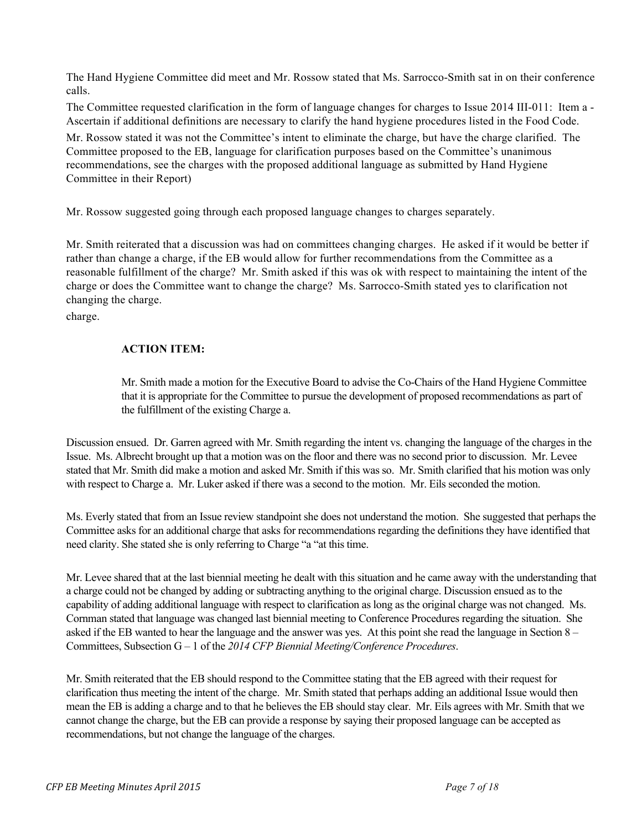The Hand Hygiene Committee did meet and Mr. Rossow stated that Ms. Sarrocco-Smith sat in on their conference calls.

The Committee requested clarification in the form of language changes for charges to Issue 2014 III-011: Item a - Ascertain if additional definitions are necessary to clarify the hand hygiene procedures listed in the Food Code.

Mr. Rossow stated it was not the Committee's intent to eliminate the charge, but have the charge clarified. The Committee proposed to the EB, language for clarification purposes based on the Committee's unanimous recommendations, see the charges with the proposed additional language as submitted by Hand Hygiene Committee in their Report)

Mr. Rossow suggested going through each proposed language changes to charges separately.

Mr. Smith reiterated that a discussion was had on committees changing charges. He asked if it would be better if rather than change a charge, if the EB would allow for further recommendations from the Committee as a reasonable fulfillment of the charge? Mr. Smith asked if this was ok with respect to maintaining the intent of the charge or does the Committee want to change the charge? Ms. Sarrocco-Smith stated yes to clarification not changing the charge.

charge.

# **ACTION ITEM:**

Mr. Smith made a motion for the Executive Board to advise the Co-Chairs of the Hand Hygiene Committee that it is appropriate for the Committee to pursue the development of proposed recommendations as part of the fulfillment of the existing Charge a.

Discussion ensued. Dr. Garren agreed with Mr. Smith regarding the intent vs. changing the language of the charges in the Issue. Ms. Albrecht brought up that a motion was on the floor and there was no second prior to discussion. Mr. Levee stated that Mr. Smith did make a motion and asked Mr. Smith if this was so. Mr. Smith clarified that his motion was only with respect to Charge a. Mr. Luker asked if there was a second to the motion. Mr. Eils seconded the motion.

Ms. Everly stated that from an Issue review standpoint she does not understand the motion. She suggested that perhaps the Committee asks for an additional charge that asks for recommendations regarding the definitions they have identified that need clarity. She stated she is only referring to Charge "a "at this time.

Mr. Levee shared that at the last biennial meeting he dealt with this situation and he came away with the understanding that a charge could not be changed by adding or subtracting anything to the original charge. Discussion ensued as to the capability of adding additional language with respect to clarification as long as the original charge was not changed. Ms. Cornman stated that language was changed last biennial meeting to Conference Procedures regarding the situation. She asked if the EB wanted to hear the language and the answer was yes. At this point she read the language in Section 8 – Committees, Subsection G – 1 of the *2014 CFP Biennial Meeting/Conference Procedures*.

Mr. Smith reiterated that the EB should respond to the Committee stating that the EB agreed with their request for clarification thus meeting the intent of the charge. Mr. Smith stated that perhaps adding an additional Issue would then mean the EB is adding a charge and to that he believes the EB should stay clear. Mr. Eils agrees with Mr. Smith that we cannot change the charge, but the EB can provide a response by saying their proposed language can be accepted as recommendations, but not change the language of the charges.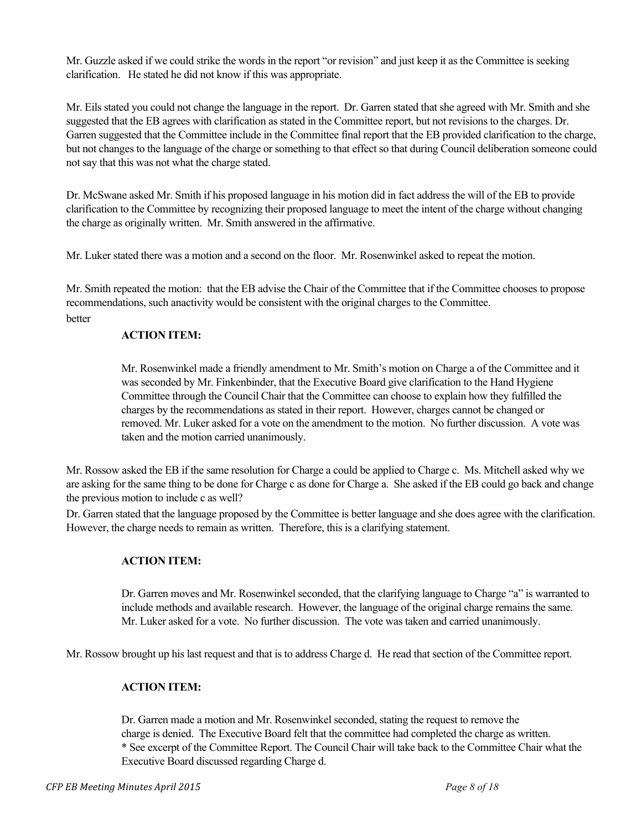Mr. Guzzle asked if we could strike the words in the report "or revision" and just keep it as the Committee is seeking clarification. He stated he did not know if this was appropriate.

Mr. Eils stated you could not change the language in the report. Dr. Garren stated that she agreed with Mr. Smith and she suggested that the EB agrees with clarification as stated in the Committee report, but not revisions to the charges. Dr. Garren suggested that the Committee include in the Committee final report that the EB provided clarification to the charge, but not changes to the language of the charge or something to that effect so that during Council deliberation someone could not say that this was not what the charge stated.

Dr. McSwane asked Mr. Smith if his proposed language in his motion did in fact address the will of the EB to provide clarification to the Committee by recognizing their proposed language to meet the intent of the charge without changing the charge as originally written. Mr. Smith answered in the affirmative.

Mr. Luker stated there was a motion and a second on the floor. Mr. Rosenwinkel asked to repeat the motion.

Mr. Smith repeated the motion: that the EB advise the Chair of the Committee that if the Committee chooses to propose recommendations, such anactivity would be consistent with the original charges to the Committee. better

## **ACTION ITEM:**

Mr. Rosenwinkel made a friendly amendment to Mr. Smith's motion on Charge a of the Committee and it was seconded by Mr. Finkenbinder, that the Executive Board give clarification to the Hand Hygiene Committee through the Council Chair that the Committee can choose to explain how they fulfilled the charges by the recommendations as stated in their report. However, charges cannot be changed or removed. Mr. Luker asked for a vote on the amendment to the motion. No further discussion. A vote was taken and the motion carried unanimously.

Mr. Rossow asked the EB if the same resolution for Charge a could be applied to Charge c. Ms. Mitchell asked why we are asking for the same thing to be done for Charge c as done for Charge a. She asked if the EB could go back and change the previous motion to include c as well?

Dr. Garren stated that the language proposed by the Committee is better language and she does agree with the clarification. However, the charge needs to remain as written. Therefore, this is a clarifying statement.

### **ACTION ITEM:**

Dr. Garren moves and Mr. Rosenwinkel seconded, that the clarifying language to Charge "a" is warranted to include methods and available research. However, the language of the original charge remains the same. Mr. Luker asked for a vote. No further discussion. The vote was taken and carried unanimously.

Mr. Rossow brought up his last request and that is to address Charge d. He read that section of the Committee report.

# **ACTION ITEM:**

Dr. Garren made a motion and Mr. Rosenwinkel seconded, stating the request to remove the charge is denied. The Executive Board felt that the committee had completed the charge as written. \* See excerpt of the Committee Report. The Council Chair will take back to the Committee Chair what the Executive Board discussed regarding Charge d.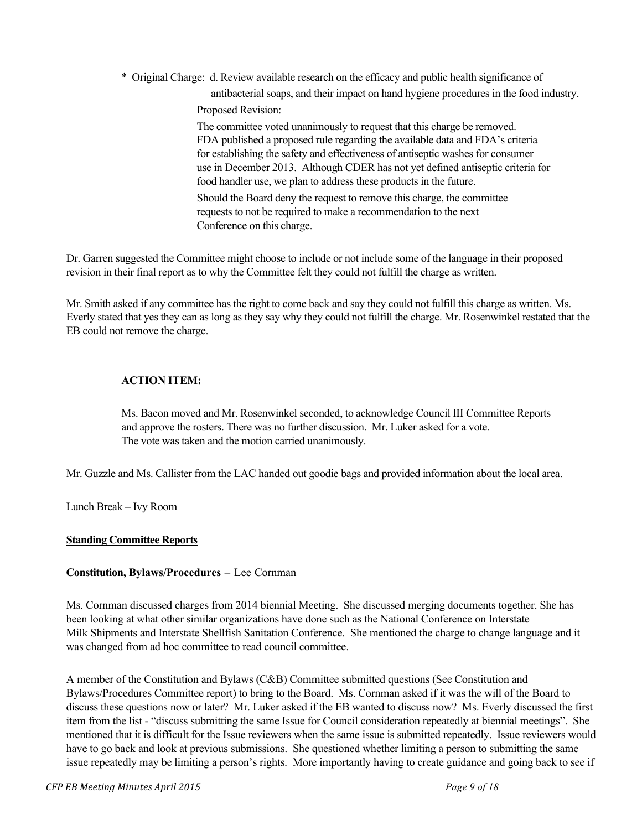\* Original Charge: d. Review available research on the efficacy and public health significance of

antibacterial soaps, and their impact on hand hygiene procedures in the food industry. Proposed Revision:

The committee voted unanimously to request that this charge be removed. FDA published a proposed rule regarding the available data and FDA's criteria for establishing the safety and effectiveness of antiseptic washes for consumer use in December 2013. Although CDER has not yet defined antiseptic criteria for food handler use, we plan to address these products in the future. Should the Board deny the request to remove this charge, the committee requests to not be required to make a recommendation to the next Conference on this charge.

Dr. Garren suggested the Committee might choose to include or not include some of the language in their proposed revision in their final report as to why the Committee felt they could not fulfill the charge as written.

Mr. Smith asked if any committee has the right to come back and say they could not fulfill this charge as written. Ms. Everly stated that yes they can as long as they say why they could not fulfill the charge. Mr. Rosenwinkel restated that the EB could not remove the charge.

# **ACTION ITEM:**

Ms. Bacon moved and Mr. Rosenwinkel seconded, to acknowledge Council III Committee Reports and approve the rosters. There was no further discussion. Mr. Luker asked for a vote. The vote was taken and the motion carried unanimously.

Mr. Guzzle and Ms. Callister from the LAC handed out goodie bags and provided information about the local area.

Lunch Break – Ivy Room

# **Standing Committee Reports**

### **Constitution, Bylaws/Procedures** – Lee Cornman

Ms. Cornman discussed charges from 2014 biennial Meeting. She discussed merging documents together. She has been looking at what other similar organizations have done such as the National Conference on Interstate Milk Shipments and Interstate Shellfish Sanitation Conference. She mentioned the charge to change language and it was changed from ad hoc committee to read council committee.

A member of the Constitution and Bylaws (C&B) Committee submitted questions (See Constitution and Bylaws/Procedures Committee report) to bring to the Board. Ms. Cornman asked if it was the will of the Board to discuss these questions now or later? Mr. Luker asked if the EB wanted to discuss now? Ms. Everly discussed the first item from the list - "discuss submitting the same Issue for Council consideration repeatedly at biennial meetings". She mentioned that it is difficult for the Issue reviewers when the same issue is submitted repeatedly. Issue reviewers would have to go back and look at previous submissions. She questioned whether limiting a person to submitting the same issue repeatedly may be limiting a person's rights. More importantly having to create guidance and going back to see if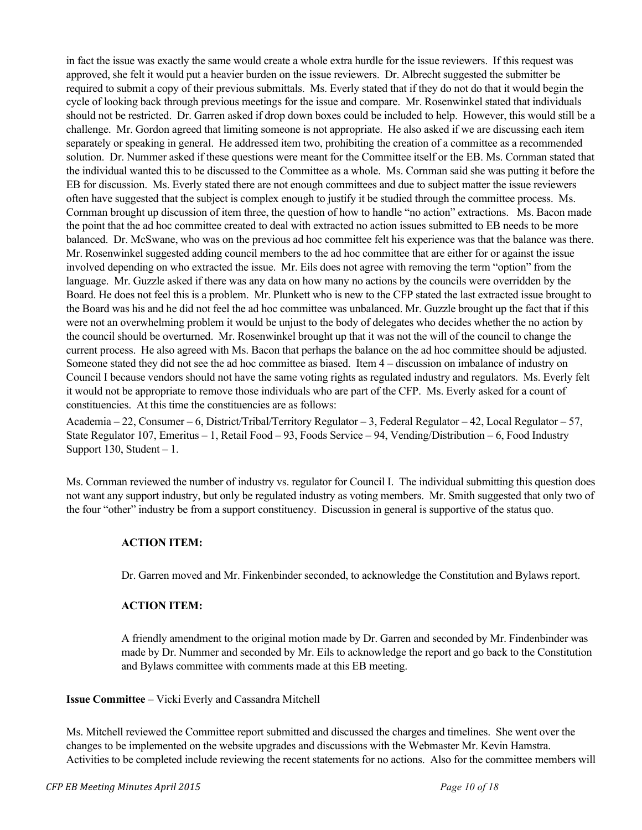in fact the issue was exactly the same would create a whole extra hurdle for the issue reviewers. If this request was approved, she felt it would put a heavier burden on the issue reviewers. Dr. Albrecht suggested the submitter be required to submit a copy of their previous submittals. Ms. Everly stated that if they do not do that it would begin the cycle of looking back through previous meetings for the issue and compare. Mr. Rosenwinkel stated that individuals should not be restricted. Dr. Garren asked if drop down boxes could be included to help. However, this would still be a challenge. Mr. Gordon agreed that limiting someone is not appropriate. He also asked if we are discussing each item separately or speaking in general. He addressed item two, prohibiting the creation of a committee as a recommended solution. Dr. Nummer asked if these questions were meant for the Committee itself or the EB. Ms. Cornman stated that the individual wanted this to be discussed to the Committee as a whole. Ms. Cornman said she was putting it before the EB for discussion. Ms. Everly stated there are not enough committees and due to subject matter the issue reviewers often have suggested that the subject is complex enough to justify it be studied through the committee process. Ms. Cornman brought up discussion of item three, the question of how to handle "no action" extractions. Ms. Bacon made the point that the ad hoc committee created to deal with extracted no action issues submitted to EB needs to be more balanced. Dr. McSwane, who was on the previous ad hoc committee felt his experience was that the balance was there. Mr. Rosenwinkel suggested adding council members to the ad hoc committee that are either for or against the issue involved depending on who extracted the issue. Mr. Eils does not agree with removing the term "option" from the language. Mr. Guzzle asked if there was any data on how many no actions by the councils were overridden by the Board. He does not feel this is a problem. Mr. Plunkett who is new to the CFP stated the last extracted issue brought to the Board was his and he did not feel the ad hoc committee was unbalanced. Mr. Guzzle brought up the fact that if this were not an overwhelming problem it would be unjust to the body of delegates who decides whether the no action by the council should be overturned. Mr. Rosenwinkel brought up that it was not the will of the council to change the current process. He also agreed with Ms. Bacon that perhaps the balance on the ad hoc committee should be adjusted. Someone stated they did not see the ad hoc committee as biased. Item 4 – discussion on imbalance of industry on Council I because vendors should not have the same voting rights as regulated industry and regulators. Ms. Everly felt it would not be appropriate to remove those individuals who are part of the CFP. Ms. Everly asked for a count of constituencies. At this time the constituencies are as follows:

Academia – 22, Consumer – 6, District/Tribal/Territory Regulator – 3, Federal Regulator – 42, Local Regulator – 57, State Regulator 107, Emeritus – 1, Retail Food – 93, Foods Service – 94, Vending/Distribution – 6, Food Industry Support 130, Student  $-1$ .

Ms. Cornman reviewed the number of industry vs. regulator for Council I. The individual submitting this question does not want any support industry, but only be regulated industry as voting members. Mr. Smith suggested that only two of the four "other" industry be from a support constituency. Discussion in general is supportive of the status quo.

### **ACTION ITEM:**

Dr. Garren moved and Mr. Finkenbinder seconded, to acknowledge the Constitution and Bylaws report.

# **ACTION ITEM:**

A friendly amendment to the original motion made by Dr. Garren and seconded by Mr. Findenbinder was made by Dr. Nummer and seconded by Mr. Eils to acknowledge the report and go back to the Constitution and Bylaws committee with comments made at this EB meeting.

### **Issue Committee** – Vicki Everly and Cassandra Mitchell

Ms. Mitchell reviewed the Committee report submitted and discussed the charges and timelines. She went over the changes to be implemented on the website upgrades and discussions with the Webmaster Mr. Kevin Hamstra. Activities to be completed include reviewing the recent statements for no actions. Also for the committee members will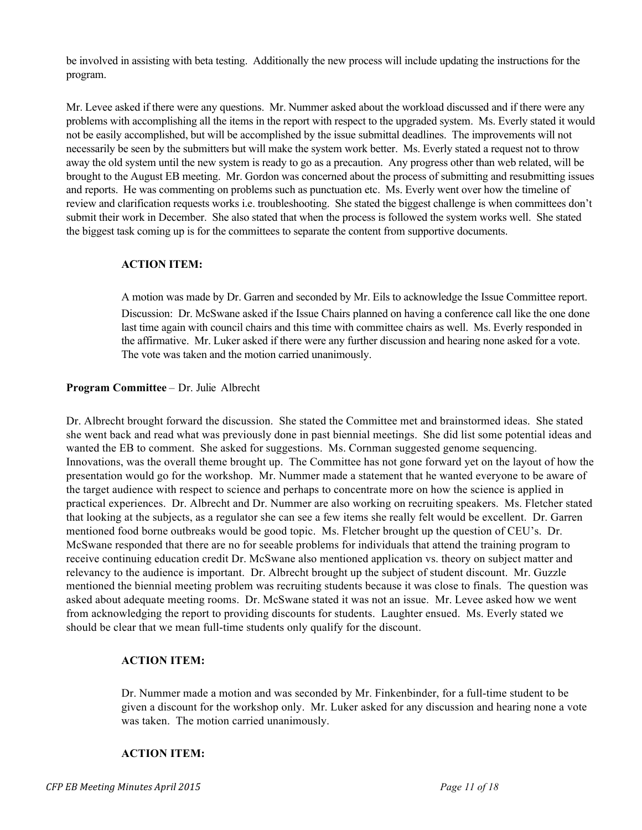be involved in assisting with beta testing. Additionally the new process will include updating the instructions for the program.

Mr. Levee asked if there were any questions. Mr. Nummer asked about the workload discussed and if there were any problems with accomplishing all the items in the report with respect to the upgraded system. Ms. Everly stated it would not be easily accomplished, but will be accomplished by the issue submittal deadlines. The improvements will not necessarily be seen by the submitters but will make the system work better. Ms. Everly stated a request not to throw away the old system until the new system is ready to go as a precaution. Any progress other than web related, will be brought to the August EB meeting. Mr. Gordon was concerned about the process of submitting and resubmitting issues and reports. He was commenting on problems such as punctuation etc. Ms. Everly went over how the timeline of review and clarification requests works i.e. troubleshooting. She stated the biggest challenge is when committees don't submit their work in December. She also stated that when the process is followed the system works well. She stated the biggest task coming up is for the committees to separate the content from supportive documents.

### **ACTION ITEM:**

A motion was made by Dr. Garren and seconded by Mr. Eils to acknowledge the Issue Committee report. Discussion: Dr. McSwane asked if the Issue Chairs planned on having a conference call like the one done last time again with council chairs and this time with committee chairs as well. Ms. Everly responded in the affirmative. Mr. Luker asked if there were any further discussion and hearing none asked for a vote. The vote was taken and the motion carried unanimously.

## **Program Committee** – Dr. Julie Albrecht

Dr. Albrecht brought forward the discussion. She stated the Committee met and brainstormed ideas. She stated she went back and read what was previously done in past biennial meetings. She did list some potential ideas and wanted the EB to comment. She asked for suggestions. Ms. Cornman suggested genome sequencing. Innovations, was the overall theme brought up. The Committee has not gone forward yet on the layout of how the presentation would go for the workshop. Mr. Nummer made a statement that he wanted everyone to be aware of the target audience with respect to science and perhaps to concentrate more on how the science is applied in practical experiences. Dr. Albrecht and Dr. Nummer are also working on recruiting speakers. Ms. Fletcher stated that looking at the subjects, as a regulator she can see a few items she really felt would be excellent. Dr. Garren mentioned food borne outbreaks would be good topic. Ms. Fletcher brought up the question of CEU's. Dr. McSwane responded that there are no for seeable problems for individuals that attend the training program to receive continuing education credit Dr. McSwane also mentioned application vs. theory on subject matter and relevancy to the audience is important. Dr. Albrecht brought up the subject of student discount. Mr. Guzzle mentioned the biennial meeting problem was recruiting students because it was close to finals. The question was asked about adequate meeting rooms. Dr. McSwane stated it was not an issue. Mr. Levee asked how we went from acknowledging the report to providing discounts for students. Laughter ensued. Ms. Everly stated we should be clear that we mean full-time students only qualify for the discount.

# **ACTION ITEM:**

Dr. Nummer made a motion and was seconded by Mr. Finkenbinder, for a full-time student to be given a discount for the workshop only. Mr. Luker asked for any discussion and hearing none a vote was taken. The motion carried unanimously.

### **ACTION ITEM:**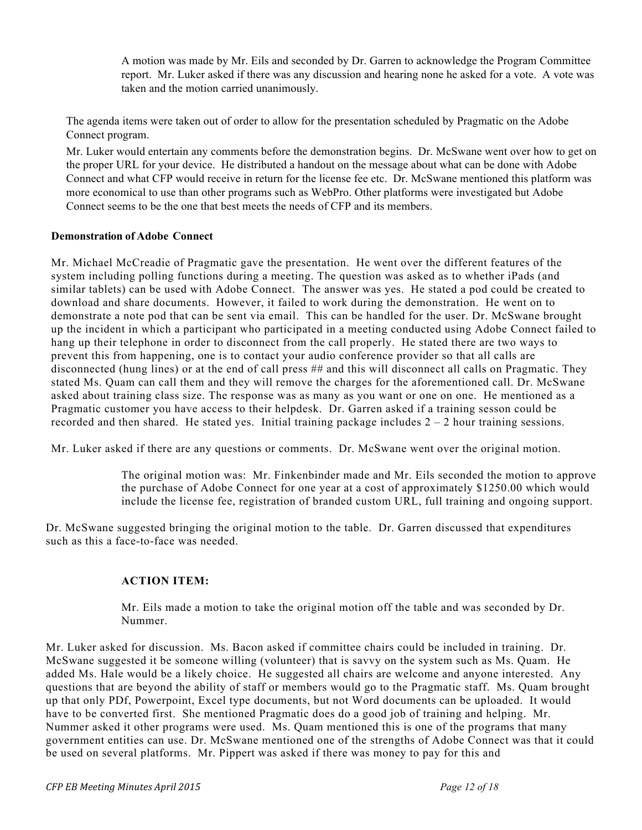A motion was made by Mr. Eils and seconded by Dr. Garren to acknowledge the Program Committee report. Mr. Luker asked if there was any discussion and hearing none he asked for a vote. A vote was taken and the motion carried unanimously.

The agenda items were taken out of order to allow for the presentation scheduled by Pragmatic on the Adobe Connect program.

Mr. Luker would entertain any comments before the demonstration begins. Dr. McSwane went over how to get on the proper URL for your device. He distributed a handout on the message about what can be done with Adobe Connect and what CFP would receive in return for the license fee etc. Dr. McSwane mentioned this platform was more economical to use than other programs such as WebPro. Other platforms were investigated but Adobe Connect seems to be the one that best meets the needs of CFP and its members.

## **Demonstration of Adobe Connect**

Mr. Michael McCreadie of Pragmatic gave the presentation. He went over the different features of the system including polling functions during a meeting. The question was asked as to whether iPads (and similar tablets) can be used with Adobe Connect. The answer was yes. He stated a pod could be created to download and share documents. However, it failed to work during the demonstration. He went on to demonstrate a note pod that can be sent via email. This can be handled for the user. Dr. McSwane brought up the incident in which a participant who participated in a meeting conducted using Adobe Connect failed to hang up their telephone in order to disconnect from the call properly. He stated there are two ways to prevent this from happening, one is to contact your audio conference provider so that all calls are disconnected (hung lines) or at the end of call press ## and this will disconnect all calls on Pragmatic. They stated Ms. Quam can call them and they will remove the charges for the aforementioned call. Dr. McSwane asked about training class size. The response was as many as you want or one on one. He mentioned as a Pragmatic customer you have access to their helpdesk. Dr. Garren asked if a training sesson could be recorded and then shared. He stated yes. Initial training package includes  $2 - 2$  hour training sessions.

Mr. Luker asked if there are any questions or comments. Dr. McSwane went over the original motion.

The original motion was: Mr. Finkenbinder made and Mr. Eils seconded the motion to approve the purchase of Adobe Connect for one year at a cost of approximately \$1250.00 which would include the license fee, registration of branded custom URL, full training and ongoing support.

Dr. McSwane suggested bringing the original motion to the table. Dr. Garren discussed that expenditures such as this a face-to-face was needed.

### **ACTION ITEM:**

Mr. Eils made a motion to take the original motion off the table and was seconded by Dr. Nummer.

Mr. Luker asked for discussion. Ms. Bacon asked if committee chairs could be included in training. Dr. McSwane suggested it be someone willing (volunteer) that is savvy on the system such as Ms. Quam. He added Ms. Hale would be a likely choice. He suggested all chairs are welcome and anyone interested. Any questions that are beyond the ability of staff or members would go to the Pragmatic staff. Ms. Quam brought up that only PDf, Powerpoint, Excel type documents, but not Word documents can be uploaded. It would have to be converted first. She mentioned Pragmatic does do a good job of training and helping. Mr. Nummer asked it other programs were used. Ms. Quam mentioned this is one of the programs that many government entities can use. Dr. McSwane mentioned one of the strengths of Adobe Connect was that it could be used on several platforms. Mr. Pippert was asked if there was money to pay for this and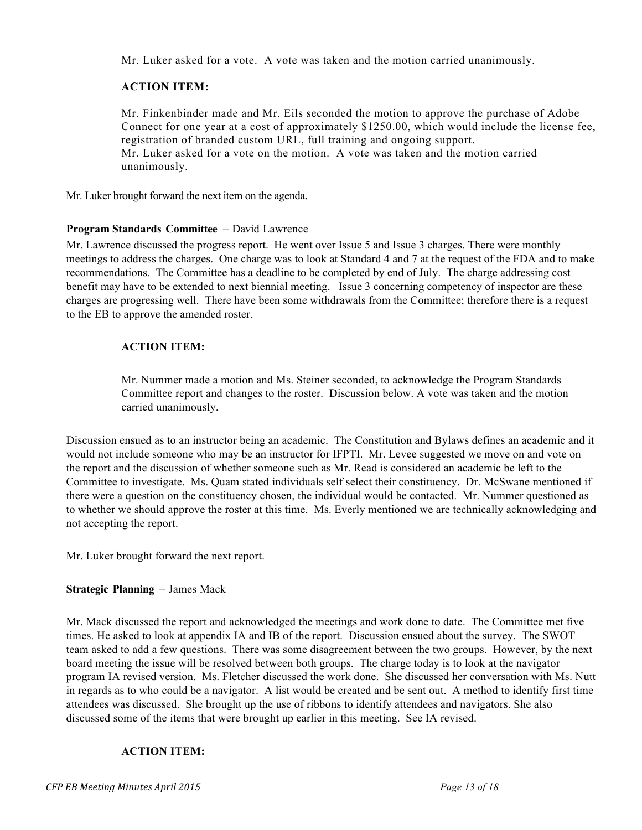Mr. Luker asked for a vote. A vote was taken and the motion carried unanimously.

# **ACTION ITEM:**

Mr. Finkenbinder made and Mr. Eils seconded the motion to approve the purchase of Adobe Connect for one year at a cost of approximately \$1250.00, which would include the license fee, registration of branded custom URL, full training and ongoing support. Mr. Luker asked for a vote on the motion. A vote was taken and the motion carried unanimously.

Mr. Luker brought forward the next item on the agenda.

### **Program Standards Committee** – David Lawrence

Mr. Lawrence discussed the progress report. He went over Issue 5 and Issue 3 charges. There were monthly meetings to address the charges. One charge was to look at Standard 4 and 7 at the request of the FDA and to make recommendations. The Committee has a deadline to be completed by end of July. The charge addressing cost benefit may have to be extended to next biennial meeting. Issue 3 concerning competency of inspector are these charges are progressing well. There have been some withdrawals from the Committee; therefore there is a request to the EB to approve the amended roster.

### **ACTION ITEM:**

Mr. Nummer made a motion and Ms. Steiner seconded, to acknowledge the Program Standards Committee report and changes to the roster. Discussion below. A vote was taken and the motion carried unanimously.

Discussion ensued as to an instructor being an academic. The Constitution and Bylaws defines an academic and it would not include someone who may be an instructor for IFPTI. Mr. Levee suggested we move on and vote on the report and the discussion of whether someone such as Mr. Read is considered an academic be left to the Committee to investigate. Ms. Quam stated individuals self select their constituency. Dr. McSwane mentioned if there were a question on the constituency chosen, the individual would be contacted. Mr. Nummer questioned as to whether we should approve the roster at this time. Ms. Everly mentioned we are technically acknowledging and not accepting the report.

Mr. Luker brought forward the next report.

### **Strategic Planning** – James Mack

Mr. Mack discussed the report and acknowledged the meetings and work done to date. The Committee met five times. He asked to look at appendix IA and IB of the report. Discussion ensued about the survey. The SWOT team asked to add a few questions. There was some disagreement between the two groups. However, by the next board meeting the issue will be resolved between both groups. The charge today is to look at the navigator program IA revised version. Ms. Fletcher discussed the work done. She discussed her conversation with Ms. Nutt in regards as to who could be a navigator. A list would be created and be sent out. A method to identify first time attendees was discussed. She brought up the use of ribbons to identify attendees and navigators. She also discussed some of the items that were brought up earlier in this meeting. See IA revised.

### **ACTION ITEM:**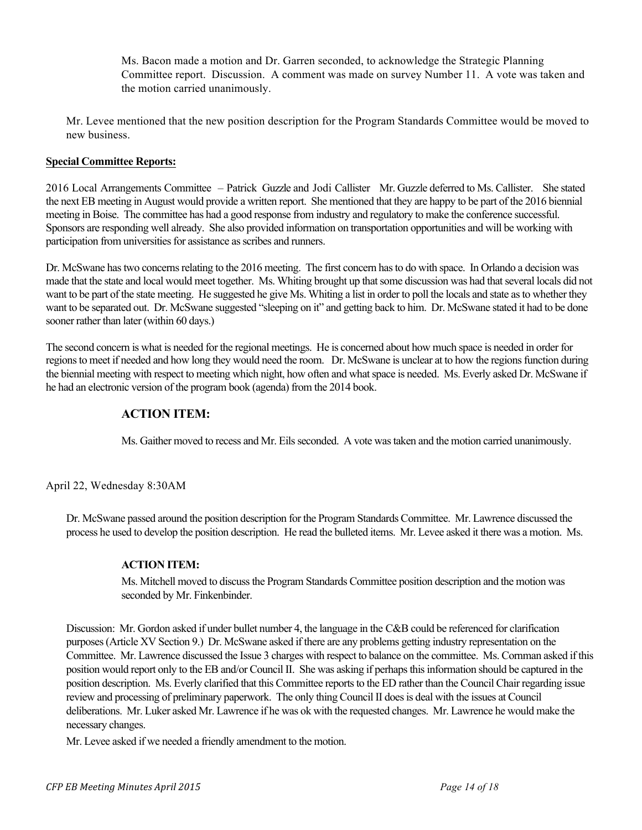Ms. Bacon made a motion and Dr. Garren seconded, to acknowledge the Strategic Planning Committee report. Discussion. A comment was made on survey Number 11. A vote was taken and the motion carried unanimously.

Mr. Levee mentioned that the new position description for the Program Standards Committee would be moved to new business.

## **Special Committee Reports:**

2016 Local Arrangements Committee – Patrick Guzzle and Jodi Callister Mr. Guzzle deferred to Ms. Callister. She stated the next EB meeting in August would provide a written report. She mentioned that they are happy to be part of the 2016 biennial meeting in Boise. The committee has had a good response from industry and regulatory to make the conference successful. Sponsors are responding well already. She also provided information on transportation opportunities and will be working with participation from universities for assistance as scribes and runners.

Dr. McSwane has two concerns relating to the 2016 meeting. The first concern has to do with space. In Orlando a decision was made that the state and local would meet together. Ms. Whiting brought up that some discussion was had that several locals did not want to be part of the state meeting. He suggested he give Ms. Whiting a list in order to poll the locals and state as to whether they want to be separated out. Dr. McSwane suggested "sleeping on it" and getting back to him. Dr. McSwane stated it had to be done sooner rather than later (within 60 days.)

The second concern is what is needed for the regional meetings. He is concerned about how much space is needed in order for regions to meet if needed and how long they would need the room. Dr. McSwane is unclear at to how the regions function during the biennial meeting with respect to meeting which night, how often and what space is needed. Ms. Everly asked Dr. McSwane if he had an electronic version of the program book (agenda) from the 2014 book.

## **ACTION ITEM:**

Ms. Gaither moved to recess and Mr. Eils seconded. A vote was taken and the motion carried unanimously.

April 22, Wednesday 8:30AM

Dr. McSwane passed around the position description for the Program Standards Committee. Mr. Lawrence discussed the process he used to develop the position description. He read the bulleted items. Mr. Levee asked it there was a motion. Ms.

### **ACTION ITEM:**

Ms. Mitchell moved to discuss the Program Standards Committee position description and the motion was seconded by Mr. Finkenbinder.

Discussion: Mr. Gordon asked if under bullet number 4, the language in the C&B could be referenced for clarification purposes (Article XV Section 9.) Dr. McSwane asked if there are any problems getting industry representation on the Committee. Mr. Lawrence discussed the Issue 3 charges with respect to balance on the committee. Ms. Cornman asked if this position would report only to the EB and/or Council II. She was asking if perhaps this information should be captured in the position description. Ms. Everly clarified that this Committee reports to the ED rather than the Council Chair regarding issue review and processing of preliminary paperwork. The only thing Council II does is deal with the issues at Council deliberations. Mr. Luker asked Mr. Lawrence if he was ok with the requested changes. Mr. Lawrence he would make the necessary changes.

Mr. Levee asked if we needed a friendly amendment to the motion.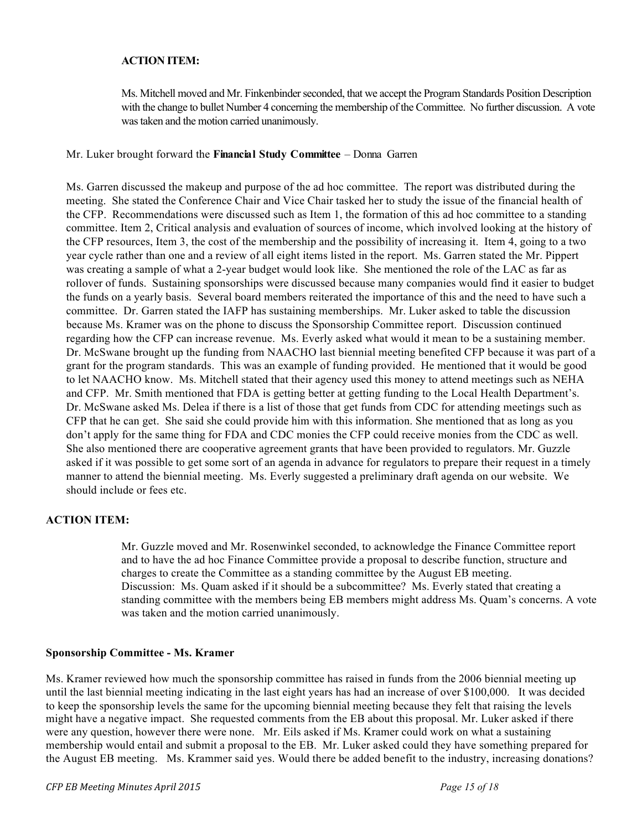### **ACTION ITEM:**

Ms. Mitchell moved and Mr. Finkenbinder seconded, that we accept the Program Standards Position Description with the change to bullet Number 4 concerning the membership of the Committee. No further discussion. A vote was taken and the motion carried unanimously.

#### Mr. Luker brought forward the **Financial Study Committee** – Donna Garren

Ms. Garren discussed the makeup and purpose of the ad hoc committee. The report was distributed during the meeting. She stated the Conference Chair and Vice Chair tasked her to study the issue of the financial health of the CFP. Recommendations were discussed such as Item 1, the formation of this ad hoc committee to a standing committee. Item 2, Critical analysis and evaluation of sources of income, which involved looking at the history of the CFP resources, Item 3, the cost of the membership and the possibility of increasing it. Item 4, going to a two year cycle rather than one and a review of all eight items listed in the report. Ms. Garren stated the Mr. Pippert was creating a sample of what a 2-year budget would look like. She mentioned the role of the LAC as far as rollover of funds. Sustaining sponsorships were discussed because many companies would find it easier to budget the funds on a yearly basis. Several board members reiterated the importance of this and the need to have such a committee. Dr. Garren stated the IAFP has sustaining memberships. Mr. Luker asked to table the discussion because Ms. Kramer was on the phone to discuss the Sponsorship Committee report. Discussion continued regarding how the CFP can increase revenue. Ms. Everly asked what would it mean to be a sustaining member. Dr. McSwane brought up the funding from NAACHO last biennial meeting benefited CFP because it was part of a grant for the program standards. This was an example of funding provided. He mentioned that it would be good to let NAACHO know. Ms. Mitchell stated that their agency used this money to attend meetings such as NEHA and CFP. Mr. Smith mentioned that FDA is getting better at getting funding to the Local Health Department's. Dr. McSwane asked Ms. Delea if there is a list of those that get funds from CDC for attending meetings such as CFP that he can get. She said she could provide him with this information. She mentioned that as long as you don't apply for the same thing for FDA and CDC monies the CFP could receive monies from the CDC as well. She also mentioned there are cooperative agreement grants that have been provided to regulators. Mr. Guzzle asked if it was possible to get some sort of an agenda in advance for regulators to prepare their request in a timely manner to attend the biennial meeting. Ms. Everly suggested a preliminary draft agenda on our website. We should include or fees etc.

### **ACTION ITEM:**

Mr. Guzzle moved and Mr. Rosenwinkel seconded, to acknowledge the Finance Committee report and to have the ad hoc Finance Committee provide a proposal to describe function, structure and charges to create the Committee as a standing committee by the August EB meeting. Discussion: Ms. Quam asked if it should be a subcommittee? Ms. Everly stated that creating a standing committee with the members being EB members might address Ms. Quam's concerns. A vote was taken and the motion carried unanimously.

### **Sponsorship Committee - Ms. Kramer**

Ms. Kramer reviewed how much the sponsorship committee has raised in funds from the 2006 biennial meeting up until the last biennial meeting indicating in the last eight years has had an increase of over \$100,000. It was decided to keep the sponsorship levels the same for the upcoming biennial meeting because they felt that raising the levels might have a negative impact. She requested comments from the EB about this proposal. Mr. Luker asked if there were any question, however there were none. Mr. Eils asked if Ms. Kramer could work on what a sustaining membership would entail and submit a proposal to the EB. Mr. Luker asked could they have something prepared for the August EB meeting. Ms. Krammer said yes. Would there be added benefit to the industry, increasing donations?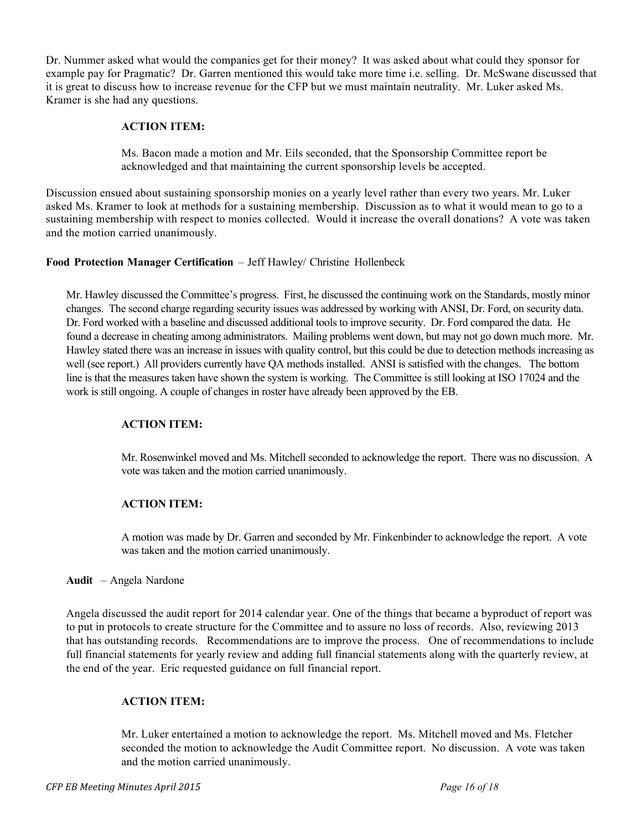Dr. Nummer asked what would the companies get for their money? It was asked about what could they sponsor for example pay for Pragmatic? Dr. Garren mentioned this would take more time i.e. selling. Dr. McSwane discussed that it is great to discuss how to increase revenue for the CFP but we must maintain neutrality. Mr. Luker asked Ms. Kramer is she had any questions.

## **ACTION ITEM:**

Ms. Bacon made a motion and Mr. Eils seconded, that the Sponsorship Committee report be acknowledged and that maintaining the current sponsorship levels be accepted.

Discussion ensued about sustaining sponsorship monies on a yearly level rather than every two years. Mr. Luker asked Ms. Kramer to look at methods for a sustaining membership. Discussion as to what it would mean to go to a sustaining membership with respect to monies collected. Would it increase the overall donations? A vote was taken and the motion carried unanimously.

### **Food Protection Manager Certification** – Jeff Hawley/ Christine Hollenbeck

Mr. Hawley discussed the Committee's progress. First, he discussed the continuing work on the Standards, mostly minor changes. The second charge regarding security issues was addressed by working with ANSI, Dr. Ford, on security data. Dr. Ford worked with a baseline and discussed additional tools to improve security. Dr. Ford compared the data. He found a decrease in cheating among administrators. Mailing problems went down, but may not go down much more. Mr. Hawley stated there was an increase in issues with quality control, but this could be due to detection methods increasing as well (see report.) All providers currently have QA methods installed. ANSI is satisfied with the changes. The bottom line is that the measures taken have shown the system is working. The Committee is still looking at ISO 17024 and the work is still ongoing. A couple of changes in roster have already been approved by the EB.

### **ACTION ITEM:**

Mr. Rosenwinkel moved and Ms. Mitchell seconded to acknowledge the report. There was no discussion. A vote was taken and the motion carried unanimously.

# **ACTION ITEM:**

A motion was made by Dr. Garren and seconded by Mr. Finkenbinder to acknowledge the report. A vote was taken and the motion carried unanimously.

### **Audit** – Angela Nardone

Angela discussed the audit report for 2014 calendar year. One of the things that became a byproduct of report was to put in protocols to create structure for the Committee and to assure no loss of records. Also, reviewing 2013 that has outstanding records. Recommendations are to improve the process. One of recommendations to include full financial statements for yearly review and adding full financial statements along with the quarterly review, at the end of the year. Eric requested guidance on full financial report.

### **ACTION ITEM:**

Mr. Luker entertained a motion to acknowledge the report. Ms. Mitchell moved and Ms. Fletcher seconded the motion to acknowledge the Audit Committee report. No discussion. A vote was taken and the motion carried unanimously.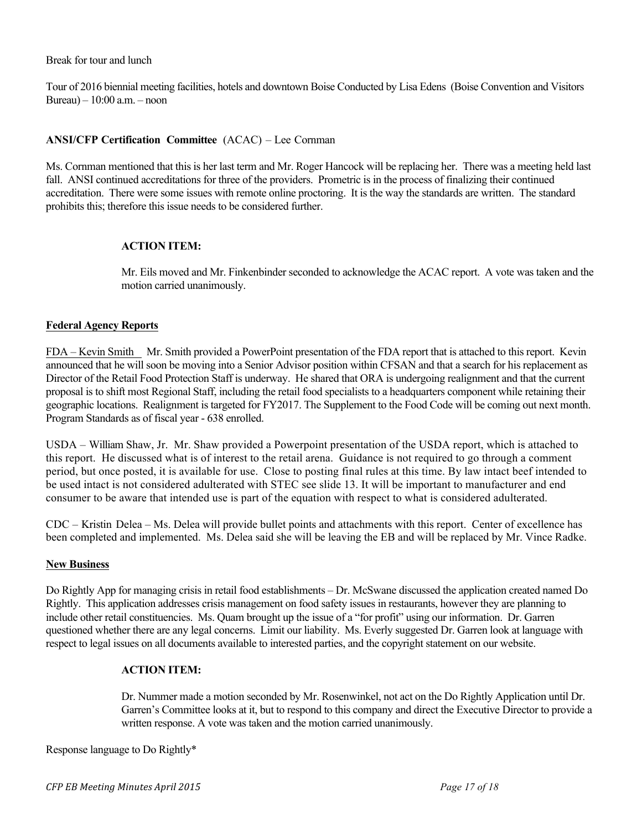#### Break for tour and lunch

Tour of 2016 biennial meeting facilities, hotels and downtown Boise Conducted by Lisa Edens (Boise Convention and Visitors Bureau) – 10:00 a.m. – noon

### **ANSI/CFP Certification Committee** (ACAC) – Lee Cornman

Ms. Cornman mentioned that this is her last term and Mr. Roger Hancock will be replacing her. There was a meeting held last fall. ANSI continued accreditations for three of the providers. Prometric is in the process of finalizing their continued accreditation. There were some issues with remote online proctoring. It is the way the standards are written. The standard prohibits this; therefore this issue needs to be considered further.

#### **ACTION ITEM:**

Mr. Eils moved and Mr. Finkenbinder seconded to acknowledge the ACAC report. A vote was taken and the motion carried unanimously.

### **Federal Agency Reports**

FDA – Kevin Smith Mr. Smith provided a PowerPoint presentation of the FDA report that is attached to this report. Kevin announced that he will soon be moving into a Senior Advisor position within CFSAN and that a search for his replacement as Director of the Retail Food Protection Staff is underway. He shared that ORA is undergoing realignment and that the current proposal is to shift most Regional Staff, including the retail food specialists to a headquarters component while retaining their geographic locations. Realignment is targeted for FY2017. The Supplement to the Food Code will be coming out next month. Program Standards as of fiscal year - 638 enrolled.

USDA – William Shaw, Jr. Mr. Shaw provided a Powerpoint presentation of the USDA report, which is attached to this report. He discussed what is of interest to the retail arena. Guidance is not required to go through a comment period, but once posted, it is available for use. Close to posting final rules at this time. By law intact beef intended to be used intact is not considered adulterated with STEC see slide 13. It will be important to manufacturer and end consumer to be aware that intended use is part of the equation with respect to what is considered adulterated.

CDC – Kristin Delea – Ms. Delea will provide bullet points and attachments with this report. Center of excellence has been completed and implemented. Ms. Delea said she will be leaving the EB and will be replaced by Mr. Vince Radke.

#### **New Business**

Do Rightly App for managing crisis in retail food establishments – Dr. McSwane discussed the application created named Do Rightly. This application addresses crisis management on food safety issues in restaurants, however they are planning to include other retail constituencies. Ms. Quam brought up the issue of a "for profit" using our information. Dr. Garren questioned whether there are any legal concerns. Limit our liability. Ms. Everly suggested Dr. Garren look at language with respect to legal issues on all documents available to interested parties, and the copyright statement on our website.

### **ACTION ITEM:**

Dr. Nummer made a motion seconded by Mr. Rosenwinkel, not act on the Do Rightly Application until Dr. Garren's Committee looks at it, but to respond to this company and direct the Executive Director to provide a written response. A vote was taken and the motion carried unanimously.

Response language to Do Rightly\*